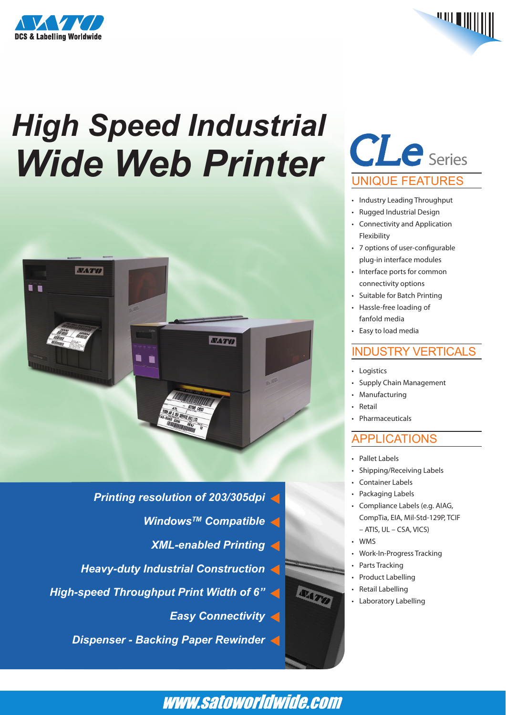



# *High Speed Industrial Wide Web Printer*



- *Printing resolution of 203/305dpi*
	- *WindowsTM Compatible*
	- *XML-enabled Printing*
- *Heavy-duty Industrial Construction*
- *High-speed Throughput Print Width of 6"*
	- *Easy Connectivity*

*Dispenser - Backing Paper Rewinder*

# *CLe* Series UNIQUE FEATURES

- Industry Leading Throughput
- Rugged Industrial Design
- • Connectivity and Application Flexibility
- • 7 options of user-configurable plug-in interface modules
- Interface ports for common connectivity options
- • Suitable for Batch Printing
- • Hassle-free loading of fanfold media
- • Easy to load media

#### INDUSTRY VERTICALS

- • Logistics
- • Supply Chain Management
- • Manufacturing
- **Retail**
- **Pharmaceuticals**

### APPLICATIONS

- Pallet Labels
- • Shipping/Receiving Labels
- Container Labels
- • Packaging Labels
- • Compliance Labels (e.g. AIAG, CompTia, EIA, Mil-Std-129P, TCIF – ATIS, UL – CSA, VICS)
- • WMS
- Work-In-Progress Tracking
- Parts Tracking
	- Product Labelling
	- • Retail Labelling
- • Laboratory Labelling

## www.satoworldwide.com